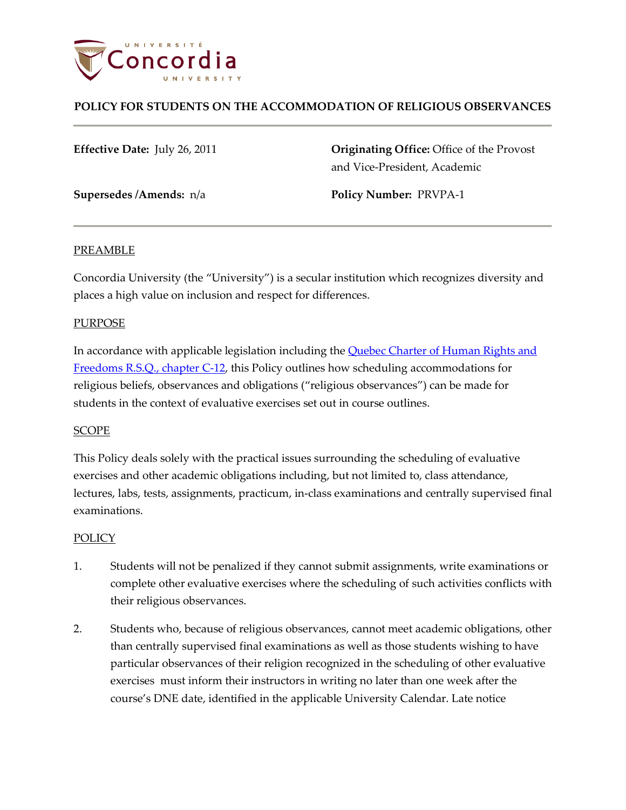

# **POLICY FOR STUDENTS ON THE ACCOMMODATION OF RELIGIOUS OBSERVANCES**

**Effective Date:** July 26, 2011 **Originating Office:** Office of the Provost and Vice-President, Academic

**Supersedes /Amends:** n/a **Policy Number:** PRVPA-1

### PREAMBLE

Concordia University (the "University") is a secular institution which recognizes diversity and places a high value on inclusion and respect for differences.

### PURPOSE

In accordance with applicable legislation including the **Quebec Charter of Human Rights and** [Freedoms R.S.Q., chapter](http://www2.publicationsduquebec.gouv.qc.ca/dynamicSearch/telecharge.php?type=2&file=/C_12/C12_A.html) C-12, this Policy outlines how scheduling accommodations for religious beliefs, observances and obligations ("religious observances") can be made for students in the context of evaluative exercises set out in course outlines.

## SCOPE

This Policy deals solely with the practical issues surrounding the scheduling of evaluative exercises and other academic obligations including, but not limited to, class attendance, lectures, labs, tests, assignments, practicum, in-class examinations and centrally supervised final examinations.

#### POLICY

- 1. Students will not be penalized if they cannot submit assignments, write examinations or complete other evaluative exercises where the scheduling of such activities conflicts with their religious observances.
- 2. Students who, because of religious observances, cannot meet academic obligations, other than centrally supervised final examinations as well as those students wishing to have particular observances of their religion recognized in the scheduling of other evaluative exercises must inform their instructors in writing no later than one week after the course's DNE date, identified in the applicable University Calendar. Late notice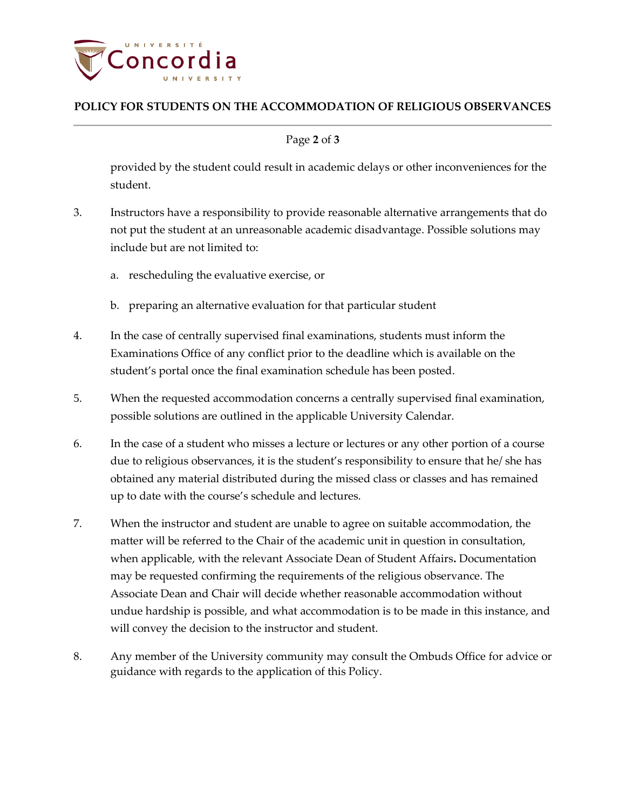

# **POLICY FOR STUDENTS ON THE ACCOMMODATION OF RELIGIOUS OBSERVANCES**

## Page **2** of **3**

provided by the student could result in academic delays or other inconveniences for the student.

- 3. Instructors have a responsibility to provide reasonable alternative arrangements that do not put the student at an unreasonable academic disadvantage. Possible solutions may include but are not limited to:
	- a. rescheduling the evaluative exercise, or
	- b. preparing an alternative evaluation for that particular student
- 4. In the case of centrally supervised final examinations, students must inform the Examinations Office of any conflict prior to the deadline which is available on the student's portal once the final examination schedule has been posted.
- 5. When the requested accommodation concerns a centrally supervised final examination, possible solutions are outlined in the applicable University Calendar.
- 6. In the case of a student who misses a lecture or lectures or any other portion of a course due to religious observances, it is the student's responsibility to ensure that he/ she has obtained any material distributed during the missed class or classes and has remained up to date with the course's schedule and lectures.
- 7. When the instructor and student are unable to agree on suitable accommodation, the matter will be referred to the Chair of the academic unit in question in consultation, when applicable, with the relevant Associate Dean of Student Affairs**.** Documentation may be requested confirming the requirements of the religious observance. The Associate Dean and Chair will decide whether reasonable accommodation without undue hardship is possible, and what accommodation is to be made in this instance, and will convey the decision to the instructor and student.
- 8. Any member of the University community may consult the Ombuds Office for advice or guidance with regards to the application of this Policy.